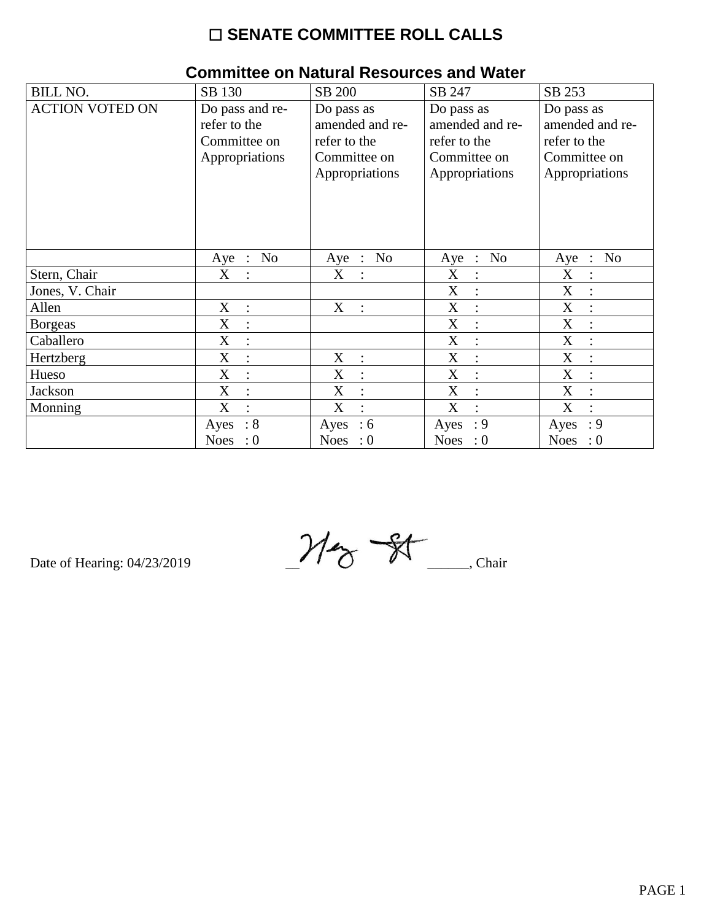# ☐ **SENATE COMMITTEE ROLL CALLS**

| <b>BILL NO.</b>        | SB 130                        | SB 200                  | SB 247                                      | SB 253                             |
|------------------------|-------------------------------|-------------------------|---------------------------------------------|------------------------------------|
| <b>ACTION VOTED ON</b> | Do pass and re-               | Do pass as              | Do pass as                                  | Do pass as                         |
|                        | refer to the                  | amended and re-         | amended and re-                             | amended and re-                    |
|                        | Committee on                  | refer to the            | refer to the                                | refer to the                       |
|                        | Appropriations                | Committee on            | Committee on                                | Committee on                       |
|                        |                               | Appropriations          | Appropriations                              | Appropriations                     |
|                        |                               |                         |                                             |                                    |
|                        |                               |                         |                                             |                                    |
|                        |                               |                         |                                             |                                    |
|                        |                               |                         |                                             |                                    |
|                        | N <sub>o</sub><br>$Aye$ :     | N <sub>o</sub><br>Aye : | N <sub>0</sub><br>Aye<br>$\therefore$       | N <sub>o</sub><br>Aye<br>$\cdot$ : |
|                        |                               |                         |                                             |                                    |
| Stern, Chair           | X<br>$\ddot{\cdot}$           | X<br>$\ddot{\cdot}$     | X                                           | X                                  |
| Jones, V. Chair        |                               |                         | X                                           | X                                  |
| Allen                  | X<br>$\ddot{\cdot}$           | X<br>$\sim$ 1.          | X<br>$\cdot$                                | X                                  |
| <b>Borgeas</b>         | X<br>$\ddot{\cdot}$           |                         | X<br>$\vdots$                               | X                                  |
| Caballero              | $\mathbf X$                   |                         | $\boldsymbol{X}$<br>$\ddot{\cdot}$          | $\boldsymbol{\mathrm{X}}$          |
| Hertzberg              | X<br>$\ddot{\cdot}$           | X<br>$\ddot{\cdot}$     | X<br>$\cdot$                                | X                                  |
| Hueso                  | X                             | X<br>$\vdots$           | X<br>$\ddot{\cdot}$                         | X                                  |
| Jackson                | X<br>$\ddot{\cdot}$           | X<br>$\ddot{\cdot}$     | $\boldsymbol{\mathrm{X}}$<br>$\ddot{\cdot}$ | X                                  |
| Monning                | X<br>$\overline{\mathcal{C}}$ | X<br>$\cdot$            | X<br>$\cdot$                                | X<br>$\bullet$                     |
|                        | $\therefore 8$<br>Ayes        | :6<br>Ayes              | $\cdot$ 9<br>Ayes                           | : 9<br>Ayes                        |
|                        | <b>Noes</b><br>$\cdot 0$      | Noes : $0$              | Noes : $0$                                  | <b>Noes</b><br>$\cdot 0$           |

## **Committee on Natural Resources and Water**

Date of Hearing: 04/23/2019  $M_{\gamma}$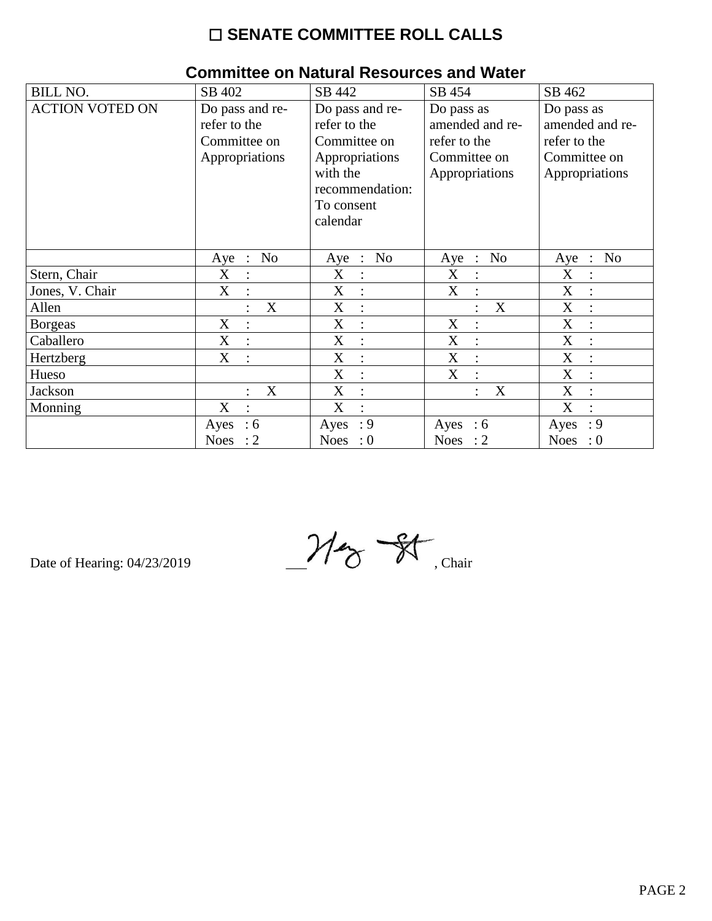# $\square$  SENATE COMMITTEE ROLL CALLS

| <b>BILL NO.</b>        | SB 402                              | SB 442                      | SB 454                      | SB 462                    |
|------------------------|-------------------------------------|-----------------------------|-----------------------------|---------------------------|
| <b>ACTION VOTED ON</b> | Do pass and re-                     | Do pass and re-             | Do pass as                  | Do pass as                |
|                        | refer to the                        | refer to the                | amended and re-             | amended and re-           |
|                        | Committee on                        | Committee on                | refer to the                | refer to the              |
|                        | Appropriations                      | Appropriations              | Committee on                | Committee on              |
|                        |                                     | with the                    | Appropriations              | Appropriations            |
|                        |                                     | recommendation:             |                             |                           |
|                        |                                     | To consent                  |                             |                           |
|                        |                                     | calendar                    |                             |                           |
|                        |                                     |                             |                             |                           |
|                        | No<br>$Aye$ :                       | No<br>Aye<br>$\mathbb{R}^2$ | No<br>Aye<br>$\mathbb{R}^2$ | No<br>Aye<br>$\therefore$ |
| Stern, Chair           | X<br>$\ddot{\cdot}$                 | X<br>:                      | X<br>$\ddot{\cdot}$         | X                         |
| Jones, V. Chair        | X                                   | X                           | X                           | X                         |
| Allen                  | X                                   | X<br>$\ddot{\cdot}$         | X                           | X<br>$\ddot{\cdot}$       |
| <b>Borgeas</b>         | $\mathbf X$<br>$\ddot{\phantom{a}}$ | X<br>$\vdots$               | X<br>$\ddot{\cdot}$         | $\mathbf X$               |
| Caballero              | X                                   | X<br>$\ddot{\cdot}$         | X                           | X                         |
| Hertzberg              | X<br>$\ddot{\cdot}$                 | X<br>$\ddot{\cdot}$         | X<br>$\ddot{\cdot}$         | X<br>$\ddot{\cdot}$       |
| Hueso                  |                                     | X<br>$\ddot{\cdot}$         | X<br>$\ddot{\cdot}$         | X                         |
| Jackson                | X                                   | X<br>$\ddot{\cdot}$         | X                           | X                         |
| Monning                | X                                   | X<br>$\ddot{\cdot}$         |                             | X                         |
|                        | :6<br>Ayes                          | : 9<br>Ayes                 | Ayes : $6$                  | : 9<br>Ayes               |
|                        | <b>Noes</b><br>$\colon$ 2           | <b>Noes</b><br>$\cdot 0$    | Noes : $2$                  | <b>Noes</b><br>$\colon 0$ |

## Committee on Natural Resources and Water

Date of Hearing: 04/23/2019

 $M_{\mathrm{\odot}}$  St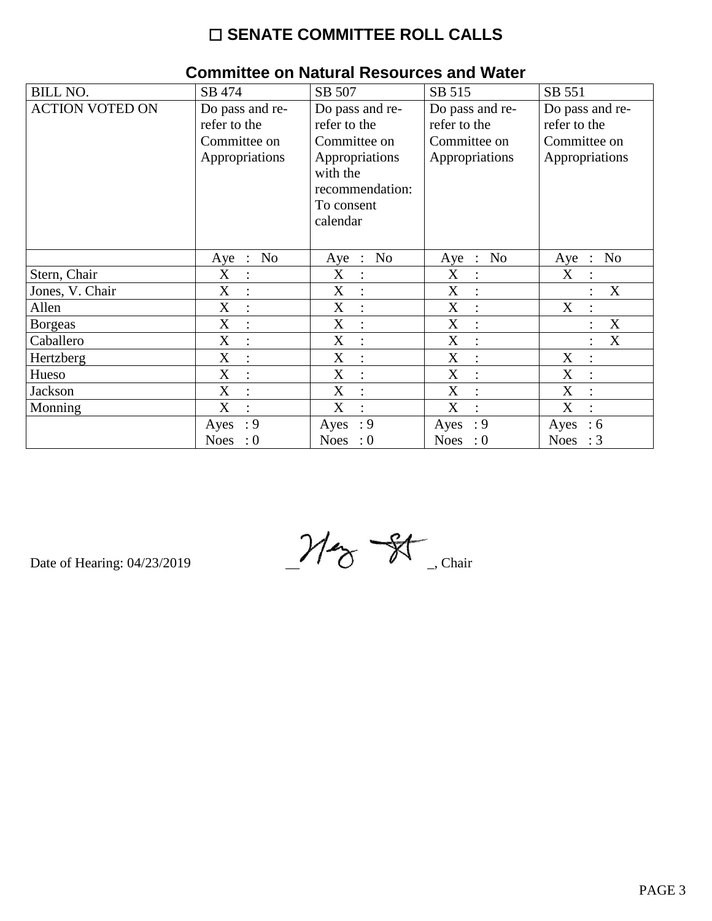# $\square$  SENATE COMMITTEE ROLL CALLS

| <b>BILL NO.</b>        | SB 474                                          | SB 507                                          | SB 515                                          | SB 551                                        |
|------------------------|-------------------------------------------------|-------------------------------------------------|-------------------------------------------------|-----------------------------------------------|
| <b>ACTION VOTED ON</b> | Do pass and re-                                 | Do pass and re-                                 | Do pass and re-                                 | Do pass and re-                               |
|                        | refer to the                                    | refer to the                                    | refer to the                                    | refer to the                                  |
|                        | Committee on                                    | Committee on                                    | Committee on                                    | Committee on                                  |
|                        | Appropriations                                  | Appropriations                                  | Appropriations                                  | Appropriations                                |
|                        |                                                 | with the                                        |                                                 |                                               |
|                        |                                                 | recommendation:                                 |                                                 |                                               |
|                        |                                                 | To consent                                      |                                                 |                                               |
|                        |                                                 | calendar                                        |                                                 |                                               |
|                        |                                                 |                                                 |                                                 |                                               |
|                        | N <sub>o</sub><br>Aye<br>$\ddot{\phantom{1}}$ : | N <sub>o</sub><br>Aye<br>$\ddot{\phantom{1}}$ : | N <sub>o</sub><br>Aye<br>$\ddot{\phantom{1}}$ : | N <sub>o</sub><br>Aye<br>$\ddot{\phantom{1}}$ |
| Stern, Chair           | X<br>$\ddot{\cdot}$                             | X                                               | X<br>$\ddot{\cdot}$                             | X                                             |
| Jones, V. Chair        | X                                               | X                                               | X                                               | X                                             |
| Allen                  | X<br>$\ddot{\cdot}$                             | X<br>$\ddot{\cdot}$                             | X<br>$\ddot{\cdot}$                             | X<br>$\ddot{\cdot}$                           |
| <b>Borgeas</b>         | X                                               | X<br>$\colon$                                   | X<br>$\vdots$                                   | X                                             |
| Caballero              | X                                               | X                                               | X<br>$\ddot{\cdot}$                             | X                                             |
| Hertzberg              | X<br>$\ddot{\phantom{a}}$                       | X<br>$\ddot{\cdot}$                             | X<br>$\ddot{\cdot}$                             | X<br>$\ddot{\phantom{a}}$                     |
| Hueso                  | X                                               | X<br>$\ddot{\cdot}$                             | X<br>$\ddot{\cdot}$                             | X                                             |
| Jackson                | $\boldsymbol{\mathrm{X}}$<br>$\ddot{\cdot}$     | X<br>$\ddot{\cdot}$                             | X<br>$\ddot{\cdot}$                             | X                                             |
| Monning                | X<br>$\bullet$                                  | X<br>$\bullet$                                  | X<br>$\ddot{\phantom{a}}$                       | X<br>$\bullet$                                |
|                        | : 9<br>Ayes                                     | : 9<br>Ayes                                     | : 9<br>Ayes                                     | Ayes<br>:6                                    |
|                        | Noes<br>$\therefore 0$                          | <b>Noes</b><br>$\therefore 0$                   | Noes : $0$                                      | <b>Noes</b><br>$\therefore$ 3                 |

## **Committee on Natural Resources and Water**

Date of Hearing: 04/23/2019

 $M_{\odot}$  St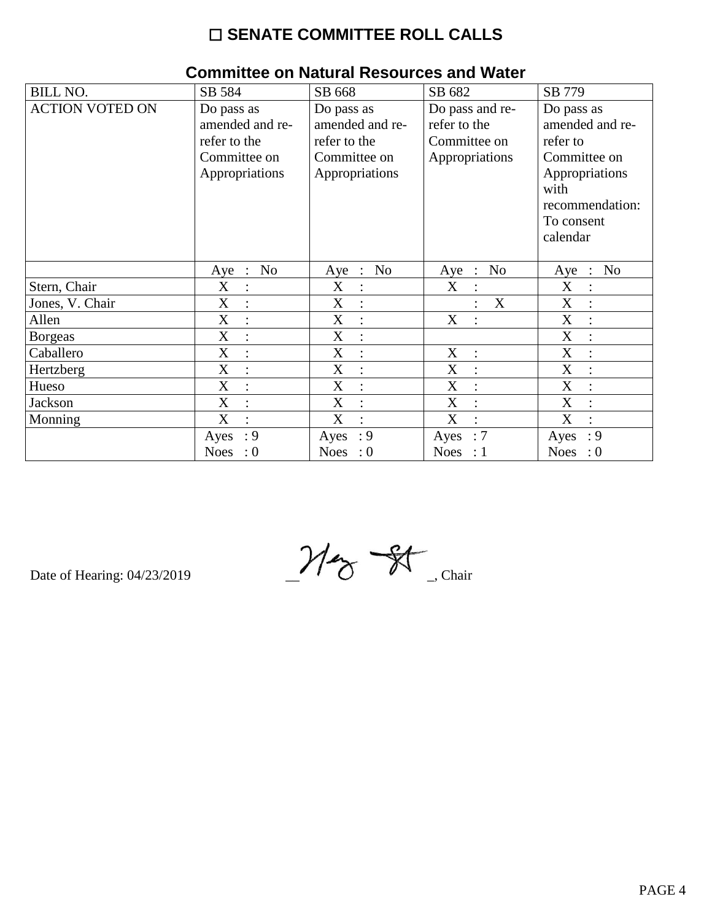# $\square$  SENATE COMMITTEE ROLL CALLS

|                        | 011111111100 ON NGCGI GI ROJOGI 000 GINA TTACCI |                           |                               |                                    |
|------------------------|-------------------------------------------------|---------------------------|-------------------------------|------------------------------------|
| <b>BILL NO.</b>        | SB 584                                          | SB 668                    | SB 682                        | SB 779                             |
| <b>ACTION VOTED ON</b> | Do pass as                                      | Do pass as                | Do pass and re-               | Do pass as                         |
|                        | amended and re-                                 | amended and re-           | refer to the                  | amended and re-                    |
|                        | refer to the                                    | refer to the              | Committee on                  | refer to                           |
|                        | Committee on                                    | Committee on              | Appropriations                | Committee on                       |
|                        | Appropriations                                  | Appropriations            |                               | Appropriations                     |
|                        |                                                 |                           |                               | with                               |
|                        |                                                 |                           |                               | recommendation:                    |
|                        |                                                 |                           |                               | To consent                         |
|                        |                                                 |                           |                               | calendar                           |
|                        |                                                 |                           |                               |                                    |
|                        | N <sub>o</sub><br>Aye :                         | N <sub>o</sub><br>$Aye$ : | N <sub>o</sub><br>$Aye$ :     | N <sub>o</sub><br>Aye<br>$\cdot$ : |
| Stern, Chair           | X<br>$\ddot{\cdot}$                             | X<br>$\ddot{\cdot}$       | X                             | X                                  |
| Jones, V. Chair        | X                                               | X                         | $\mathbf X$                   | $\mathbf X$                        |
| Allen                  | $\mathbf X$<br>$\ddot{\cdot}$                   | X<br>$\ddot{\cdot}$       | X                             | $\mathbf X$                        |
| <b>Borgeas</b>         | X<br>$\ddot{\cdot}$                             | X<br>$\ddot{\cdot}$       |                               | $\mathbf X$                        |
| Caballero              | $\boldsymbol{X}$<br>$\ddot{\cdot}$              | X<br>$\ddot{\cdot}$       | X                             | X                                  |
| Hertzberg              | X<br>$\ddot{\cdot}$                             | X                         | X                             | X                                  |
| Hueso                  | X<br>$\ddot{\cdot}$                             | X                         | X<br>$\ddot{\cdot}$           | X                                  |
| Jackson                | X<br>$\ddot{\cdot}$                             | X<br>$\vdots$             | X<br>$\ddot{\cdot}$           | X                                  |
| Monning                | X<br>$\ddot{\cdot}$                             | X<br>$\ddot{\cdot}$       | X<br>$\ddot{\cdot}$           | $\mathbf X$                        |
|                        | : 9<br>Ayes                                     | : 9<br>Ayes               | $\therefore 7$<br>Ayes        | $\cdot$ 9<br>Ayes                  |
|                        | <b>Noes</b><br>$\therefore$ 0                   | <b>Noes</b><br>$\cdot 0$  | <b>Noes</b><br>$\therefore$ 1 | <b>Noes</b><br>$\therefore 0$      |

### Committee on Natural Resources and Water

 $M_{\textrm{ex}}$  St

Date of Hearing: 04/23/2019